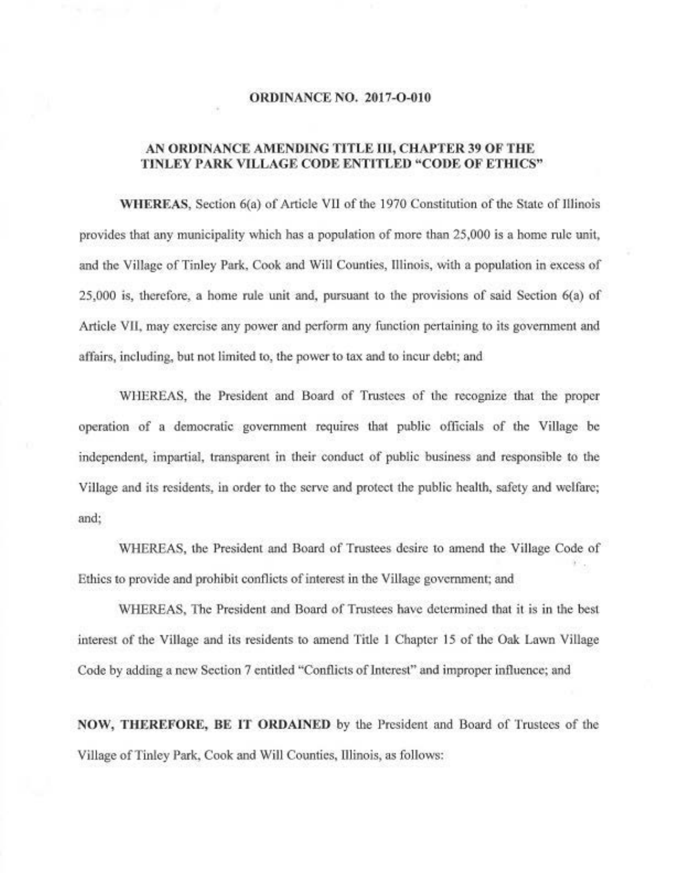#### **ORDINANCE NO. 2017-O-010**

## AN ORDINANCE AMENDING TITLE III, CHAPTER 39 OF THE TINLEY PARK VILLAGE CODE ENTITLED "CODE OF ETHICS"

WHEREAS, Section 6(a) of Article VII of the 1970 Constitution of the State of Illinois provides that any municipality which has a population of more than 25,000 is a home rule unit, and the Village of Tinley Park, Cook and Will Counties, Illinois, with a population in excess of 25,000 is, therefore, a home rule unit and, pursuant to the provisions of said Section 6(a) of Article VII, may exercise any power and perform any function pertaining to its government and affairs, including, but not limited to, the power to tax and to incur debt; and

WHEREAS, the President and Board of Trustees of the recognize that the proper operation of a democratic government requires that public officials of the Village be independent, impartial, transparent in their conduct of public business and responsible to the Village and its residents, in order to the serve and protect the public health, safety and welfare; and:

WHEREAS, the President and Board of Trustees desire to amend the Village Code of Ethics to provide and prohibit conflicts of interest in the Village government; and

WHEREAS, The President and Board of Trustees have determined that it is in the best interest of the Village and its residents to amend Title 1 Chapter 15 of the Oak Lawn Village Code by adding a new Section 7 entitled "Conflicts of Interest" and improper influence; and

NOW, THEREFORE, BE IT ORDAINED by the President and Board of Trustees of the Village of Tinley Park, Cook and Will Counties, Illinois, as follows: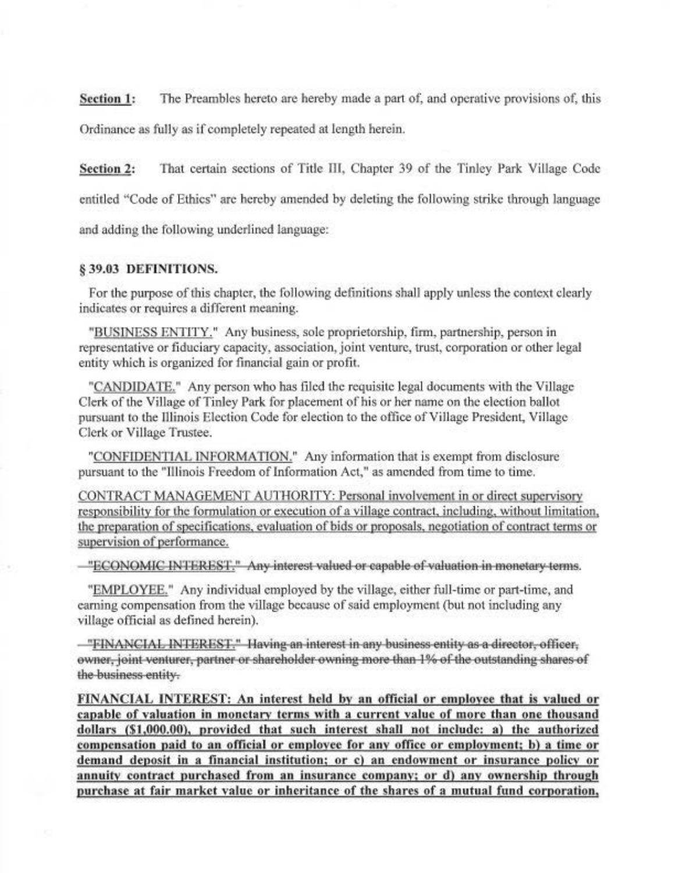The Preambles hereto are hereby made a part of, and operative provisions of, this **Section 1:** Ordinance as fully as if completely repeated at length herein.

That certain sections of Title III, Chapter 39 of the Tinley Park Village Code **Section 2:** entitled "Code of Ethics" are hereby amended by deleting the following strike through language and adding the following underlined language:

### § 39.03 DEFINITIONS.

For the purpose of this chapter, the following definitions shall apply unless the context clearly indicates or requires a different meaning.

"BUSINESS ENTITY." Any business, sole proprietorship, firm, partnership, person in representative or fiduciary capacity, association, joint venture, trust, corporation or other legal entity which is organized for financial gain or profit.

"CANDIDATE." Any person who has filed the requisite legal documents with the Village Clerk of the Village of Tinley Park for placement of his or her name on the election ballot pursuant to the Illinois Election Code for election to the office of Village President, Village Clerk or Village Trustee.

"CONFIDENTIAL INFORMATION." Any information that is exempt from disclosure pursuant to the "Illinois Freedom of Information Act," as amended from time to time.

CONTRACT MANAGEMENT AUTHORITY: Personal involvement in or direct supervisory responsibility for the formulation or execution of a village contract, including, without limitation, the preparation of specifications, evaluation of bids or proposals, negotiation of contract terms or supervision of performance.

-"ECONOMIC INTEREST." Any interest valued or capable of valuation in monetary terms.

"EMPLOYEE." Any individual employed by the village, either full-time or part-time, and earning compensation from the village because of said employment (but not including any village official as defined herein).

-"FINANCIAL INTEREST." Having an interest in any business entity as a director, officer, owner, joint venturer, partner or shareholder owning more than 1% of the outstanding shares of the business entity.

FINANCIAL INTEREST: An interest held by an official or employee that is valued or capable of valuation in monetary terms with a current value of more than one thousand dollars (\$1,000.00), provided that such interest shall not include: a) the authorized compensation paid to an official or employee for any office or employment; b) a time or demand deposit in a financial institution; or c) an endowment or insurance policy or annuity contract purchased from an insurance company; or d) any ownership through purchase at fair market value or inheritance of the shares of a mutual fund corporation,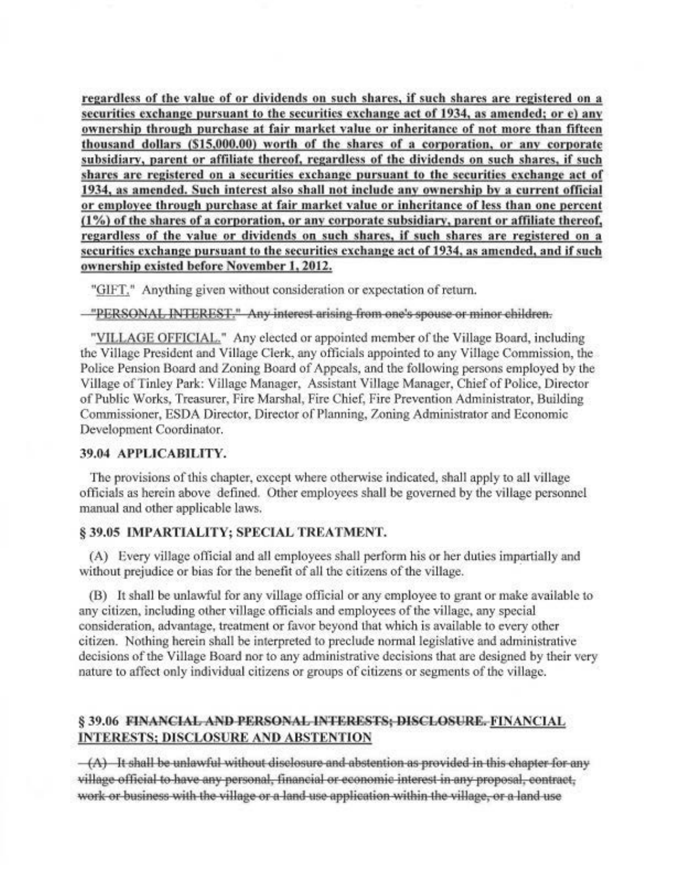regardless of the value of or dividends on such shares, if such shares are registered on a securities exchange pursuant to the securities exchange act of 1934, as amended; or e) any ownership through purchase at fair market value or inheritance of not more than fifteen thousand dollars (\$15,000.00) worth of the shares of a corporation, or any corporate subsidiary, parent or affiliate thereof, regardless of the dividends on such shares, if such shares are registered on a securities exchange pursuant to the securities exchange act of 1934, as amended. Such interest also shall not include any ownership by a current official or employee through purchase at fair market value or inheritance of less than one percent (1%) of the shares of a corporation, or any corporate subsidiary, parent or affiliate thereof, regardless of the value or dividends on such shares, if such shares are registered on a securities exchange pursuant to the securities exchange act of 1934, as amended, and if such ownership existed before November 1, 2012.

"GIFT," Anything given without consideration or expectation of return.

-"PERSONAL INTEREST." Any interest arising from one's spouse or minor children.

"VILLAGE OFFICIAL." Any elected or appointed member of the Village Board, including the Village President and Village Clerk, any officials appointed to any Village Commission, the Police Pension Board and Zoning Board of Appeals, and the following persons employed by the Village of Tinley Park: Village Manager, Assistant Village Manager, Chief of Police, Director of Public Works, Treasurer, Fire Marshal, Fire Chief, Fire Prevention Administrator, Building Commissioner, ESDA Director, Director of Planning, Zoning Administrator and Economic Development Coordinator.

### 39.04 APPLICABILITY.

The provisions of this chapter, except where otherwise indicated, shall apply to all village officials as herein above defined. Other employees shall be governed by the village personnel manual and other applicable laws.

# § 39.05 IMPARTIALITY; SPECIAL TREATMENT.

(A) Every village official and all employees shall perform his or her duties impartially and without prejudice or bias for the benefit of all the citizens of the village.

(B) It shall be unlawful for any village official or any employee to grant or make available to any citizen, including other village officials and employees of the village, any special consideration, advantage, treatment or favor beyond that which is available to every other citizen. Nothing herein shall be interpreted to preclude normal legislative and administrative decisions of the Village Board nor to any administrative decisions that are designed by their very nature to affect only individual citizens or groups of citizens or segments of the village.

# § 39.06 FINANCIAL AND PERSONAL INTERESTS; DISCLOSURE. FINANCIAL **INTERESTS; DISCLOSURE AND ABSTENTION**

 $-(\Lambda)$  It shall be unlawful without disclosure and abstention as provided in this chapter for any village official to have any personal, financial or economic interest in any proposal, contract, work or business with the village or a land use application within the village, or a land use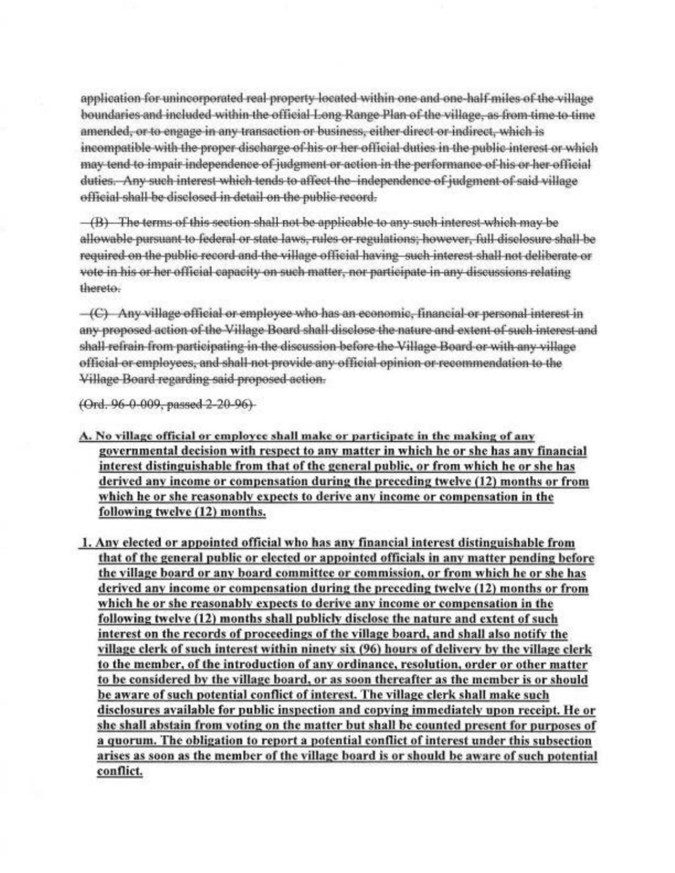application for unincorporated real-property located within one and one-half-miles of the village boundaries and included within the official Long Range Plan of the village, as from time to time amended, or to engage in any transaction or business, either direct or indirect, which is incompatible with the proper discharge of his or her official duties in the public interest or which may tend to impair independence of judgment or action in the performance of his or her official duties. Any such interest which tends to affect the independence of judgment of said village official shall be disclosed in detail on the public record.

 $-(B)$  The terms of this section shall not be applicable to any such interest which may be allowable pursuant to federal or state laws, rules or regulations; however, full disclosure shall be required on the public record and the village official having such interest shall not deliberate or vote in his or her official capacity on such matter, nor participate in any discussions relating thereto.

 $-(C)$  Any village official or employee who has an economic, financial or personal interest in any proposed action of the Village Board shall disclose the nature and extent of such interest and shall-refrain-from-participating in the discussion-before the Village Board-or-with-any-village official or employees, and shall not provide any official opinion or recommendation to the Village Board regarding said proposed action.

(Ord. 96-0-009, passed 2-20-96).

A. No village official or employee shall make or participate in the making of any governmental decision with respect to any matter in which he or she has any financial interest distinguishable from that of the general public, or from which he or she has derived any income or compensation during the preceding twelve (12) months or from which he or she reasonably expects to derive any income or compensation in the following twelve (12) months.

1. Any elected or appointed official who has any financial interest distinguishable from that of the general public or elected or appointed officials in any matter pending before the village board or any board committee or commission, or from which he or she has derived any income or compensation during the preceding twelve (12) months or from which he or she reasonably expects to derive any income or compensation in the following twelve (12) months shall publicly disclose the nature and extent of such interest on the records of proceedings of the village board, and shall also notify the village clerk of such interest within ninety six (96) hours of delivery by the village clerk to the member, of the introduction of any ordinance, resolution, order or other matter to be considered by the village board, or as soon thereafter as the member is or should be aware of such potential conflict of interest. The village clerk shall make such disclosures available for public inspection and copying immediately upon receipt. He or she shall abstain from voting on the matter but shall be counted present for purposes of a quorum. The obligation to report a potential conflict of interest under this subsection arises as soon as the member of the village board is or should be aware of such potential conflict.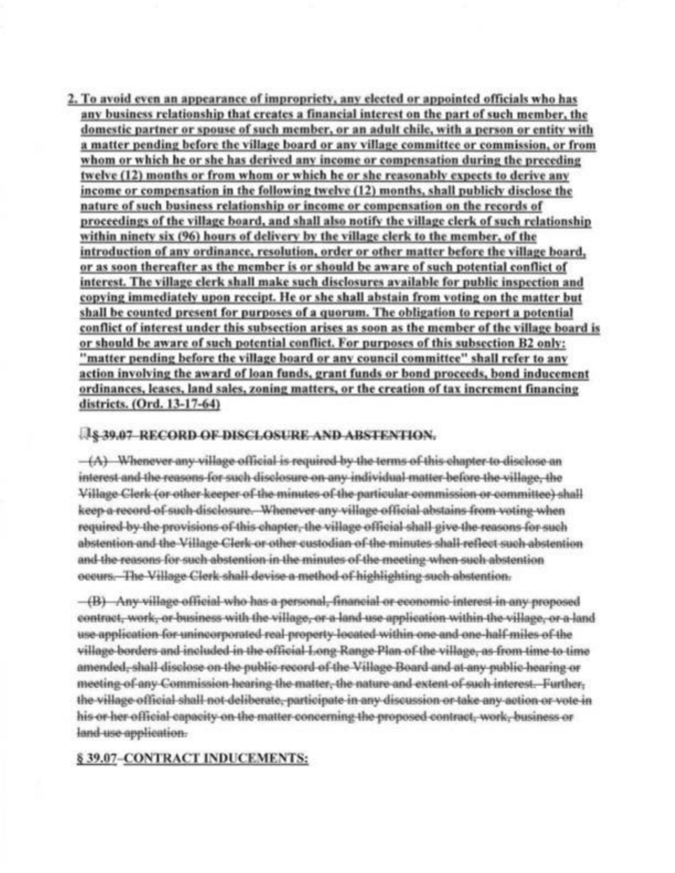2. To avoid even an appearance of impropriety, any elected or appointed officials who has any business relationship that creates a financial interest on the part of such member, the domestic partner or spouse of such member, or an adult chile, with a person or entity with a matter pending before the village board or any village committee or commission, or from whom or which he or she has derived any income or compensation during the preceding twelve (12) months or from whom or which he or she reasonably expects to derive any income or compensation in the following twelve (12) months, shall publicly disclose the nature of such business relationship or income or compensation on the records of proceedings of the village board, and shall also notify the village clerk of such relationship within ninety six (96) hours of delivery by the village clerk to the member, of the introduction of any ordinance, resolution, order or other matter before the village board, or as soon thereafter as the member is or should be aware of such potential conflict of interest. The village clerk shall make such disclosures available for public inspection and copying immediately upon receipt. He or she shall abstain from voting on the matter but shall be counted present for purposes of a quorum. The obligation to report a potential conflict of interest under this subsection arises as soon as the member of the village board is or should be aware of such potential conflict. For purposes of this subsection B2 only: "matter pending before the village board or any council committee" shall refer to any action involving the award of loan funds, grant funds or bond proceeds, bond inducement ordinances, leases, land sales, zoning matters, or the creation of tax increment financing districts. (Ord. 13-17-64)

### **18 39.07 RECORD OF DISCLOSURE AND ABSTENTION.**

 $-(A)$  Whenever any village official is required by the terms of this chapter to disclose an interest and the reasons for such disclosure on any individual matter before the village, the Village Clerk (or other keeper of the minutes of the particular commission or committee) shall keep-a-record-of-such-disclosure. Whenever-any-village-official-abstains-from-voting-when required-by-the-provisions-of-this-chapter,-the-village-official-shall-give-the-reasons-for-such abstention and the Village Clerk or other custodian of the minutes shall-reflect such abstention and the reasons for such abstention in the minutes of the meeting when such abstention occurs. The Village Clerk shall devise a method of highlighting such abstention.

-(B) Any village official who has a personal, financial or economic interest in any proposed contract, work, or business with the village, or a land use application within the village, or a land use-application-for-unincorporated-real-property-located-within-one-and-one-half-miles-of-the village-borders and included in the official Long-Range Plan of the village, as from time to time amended, shall disclose on the public record of the Village Board and at any public hearing or meeting of any Commission-hearing the matter, the nature and extent of such interest. Further, the village official shall not deliberate, participate in any discussion or take any action or vote in his or her official capacity on the matter concerning the proposed contract, work, business or land-use-application.

# § 39.07-CONTRACT INDUCEMENTS: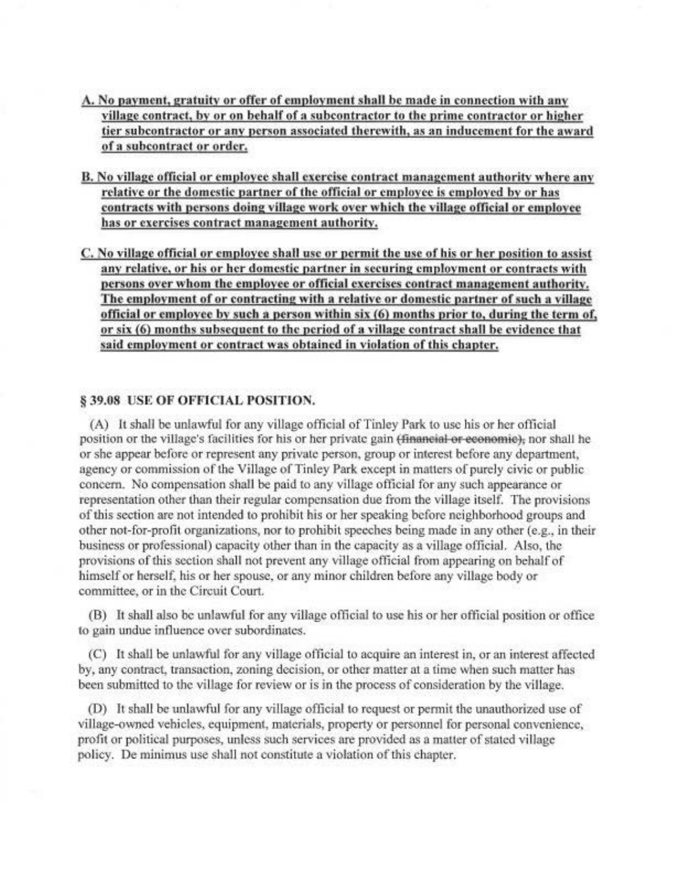- A. No payment, gratuity or offer of employment shall be made in connection with any village contract, by or on behalf of a subcontractor to the prime contractor or higher tier subcontractor or any person associated therewith, as an inducement for the award of a subcontract or order.
- B. No village official or employee shall exercise contract management authority where any relative or the domestic partner of the official or employee is employed by or has contracts with persons doing village work over which the village official or employee has or exercises contract management authority.
- C. No village official or employee shall use or permit the use of his or her position to assist any relative, or his or her domestic partner in securing employment or contracts with persons over whom the employee or official exercises contract management authority. The employment of or contracting with a relative or domestic partner of such a village official or employee by such a person within six (6) months prior to, during the term of, or six (6) months subsequent to the period of a village contract shall be evidence that said employment or contract was obtained in violation of this chapter.

## § 39.08 USE OF OFFICIAL POSITION.

(A) It shall be unlawful for any village official of Tinley Park to use his or her official position or the village's facilities for his or her private gain (financial or economic), nor shall he or she appear before or represent any private person, group or interest before any department, agency or commission of the Village of Tinley Park except in matters of purely civic or public concern. No compensation shall be paid to any village official for any such appearance or representation other than their regular compensation due from the village itself. The provisions of this section are not intended to prohibit his or her speaking before neighborhood groups and other not-for-profit organizations, nor to prohibit speeches being made in any other (e.g., in their business or professional) capacity other than in the capacity as a village official. Also, the provisions of this section shall not prevent any village official from appearing on behalf of himself or herself, his or her spouse, or any minor children before any village body or committee, or in the Circuit Court.

(B) It shall also be unlawful for any village official to use his or her official position or office to gain undue influence over subordinates.

(C) It shall be unlawful for any village official to acquire an interest in, or an interest affected by, any contract, transaction, zoning decision, or other matter at a time when such matter has been submitted to the village for review or is in the process of consideration by the village.

(D) It shall be unlawful for any village official to request or permit the unauthorized use of village-owned vehicles, equipment, materials, property or personnel for personal convenience, profit or political purposes, unless such services are provided as a matter of stated village policy. De minimus use shall not constitute a violation of this chapter.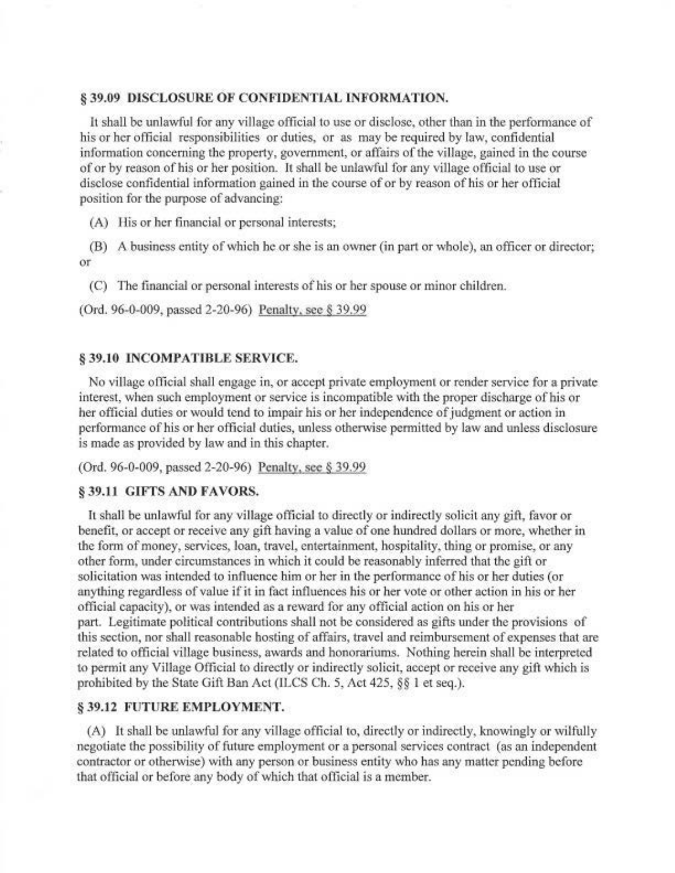### § 39.09 DISCLOSURE OF CONFIDENTIAL INFORMATION.

It shall be unlawful for any village official to use or disclose, other than in the performance of his or her official responsibilities or duties, or as may be required by law, confidential information concerning the property, government, or affairs of the village, gained in the course of or by reason of his or her position. It shall be unlawful for any village official to use or disclose confidential information gained in the course of or by reason of his or her official position for the purpose of advancing:

(A) His or her financial or personal interests;

(B) A business entity of which he or she is an owner (in part or whole), an officer or director; оr

(C) The financial or personal interests of his or her spouse or minor children.

(Ord. 96-0-009, passed 2-20-96) Penalty, see § 39.99

## § 39.10 INCOMPATIBLE SERVICE.

No village official shall engage in, or accept private employment or render service for a private interest, when such employment or service is incompatible with the proper discharge of his or her official duties or would tend to impair his or her independence of judgment or action in performance of his or her official duties, unless otherwise permitted by law and unless disclosure is made as provided by law and in this chapter.

(Ord. 96-0-009, passed 2-20-96) Penalty, see § 39.99

## § 39.11 GIFTS AND FAVORS.

It shall be unlawful for any village official to directly or indirectly solicit any gift, favor or benefit, or accept or receive any gift having a value of one hundred dollars or more, whether in the form of money, services, loan, travel, entertainment, hospitality, thing or promise, or any other form, under circumstances in which it could be reasonably inferred that the gift or solicitation was intended to influence him or her in the performance of his or her duties (or anything regardless of value if it in fact influences his or her vote or other action in his or her official capacity), or was intended as a reward for any official action on his or her part. Legitimate political contributions shall not be considered as gifts under the provisions of this section, nor shall reasonable hosting of affairs, travel and reimbursement of expenses that are related to official village business, awards and honorariums. Nothing herein shall be interpreted to permit any Village Official to directly or indirectly solicit, accept or receive any gift which is prohibited by the State Gift Ban Act (ILCS Ch. 5, Act 425, §§ 1 et seq.).

#### § 39.12 FUTURE EMPLOYMENT.

(A) It shall be unlawful for any village official to, directly or indirectly, knowingly or wilfully negotiate the possibility of future employment or a personal services contract (as an independent contractor or otherwise) with any person or business entity who has any matter pending before that official or before any body of which that official is a member.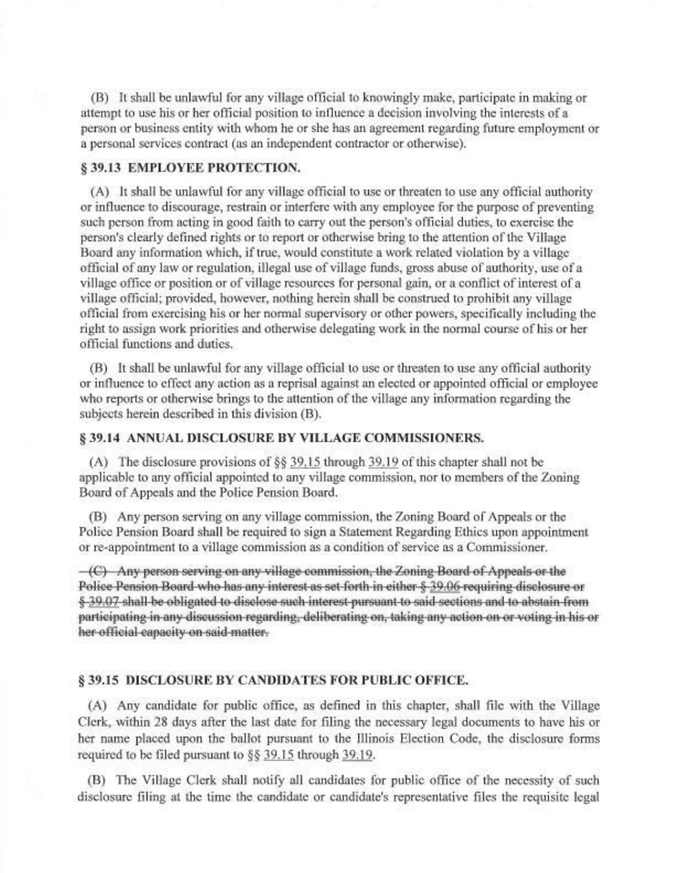(B) It shall be unlawful for any village official to knowingly make, participate in making or attempt to use his or her official position to influence a decision involving the interests of a person or business entity with whom he or she has an agreement regarding future employment or a personal services contract (as an independent contractor or otherwise).

#### § 39.13 EMPLOYEE PROTECTION.

(A) It shall be unlawful for any village official to use or threaten to use any official authority or influence to discourage, restrain or interfere with any employee for the purpose of preventing such person from acting in good faith to carry out the person's official duties, to exercise the person's clearly defined rights or to report or otherwise bring to the attention of the Village Board any information which, if true, would constitute a work related violation by a village official of any law or regulation, illegal use of village funds, gross abuse of authority, use of a village office or position or of village resources for personal gain, or a conflict of interest of a village official; provided, however, nothing herein shall be construed to prohibit any village official from exercising his or her normal supervisory or other powers, specifically including the right to assign work priorities and otherwise delegating work in the normal course of his or her official functions and duties.

(B) It shall be unlawful for any village official to use or threaten to use any official authority or influence to effect any action as a reprisal against an elected or appointed official or employee who reports or otherwise brings to the attention of the village any information regarding the subjects herein described in this division (B).

### § 39.14 ANNUAL DISCLOSURE BY VILLAGE COMMISSIONERS.

(A) The disclosure provisions of  $\S$ § 39.15 through 39.19 of this chapter shall not be applicable to any official appointed to any village commission, nor to members of the Zoning Board of Appeals and the Police Pension Board.

(B) Any person serving on any village commission, the Zoning Board of Appeals or the Police Pension Board shall be required to sign a Statement Regarding Ethics upon appointment or re-appointment to a village commission as a condition of service as a Commissioner.

 $-(C)$  Any person serving on any village commission, the Zoning Board of Appeals or the Police Pension Board who has any interest as set forth in either § 39.06 requiring disclosure or § 39.07 shall be obligated to disclose such interest pursuant to said sections and to abstain from participating in any discussion regarding, deliberating on, taking any action on or voting in his or her official capacity on said-matter.

### **§39.15 DISCLOSURE BY CANDIDATES FOR PUBLIC OFFICE.**

(A) Any candidate for public office, as defined in this chapter, shall file with the Village Clerk, within 28 days after the last date for filing the necessary legal documents to have his or her name placed upon the ballot pursuant to the Illinois Election Code, the disclosure forms required to be filed pursuant to §§ 39.15 through 39.19.

(B) The Village Clerk shall notify all candidates for public office of the necessity of such disclosure filing at the time the candidate or candidate's representative files the requisite legal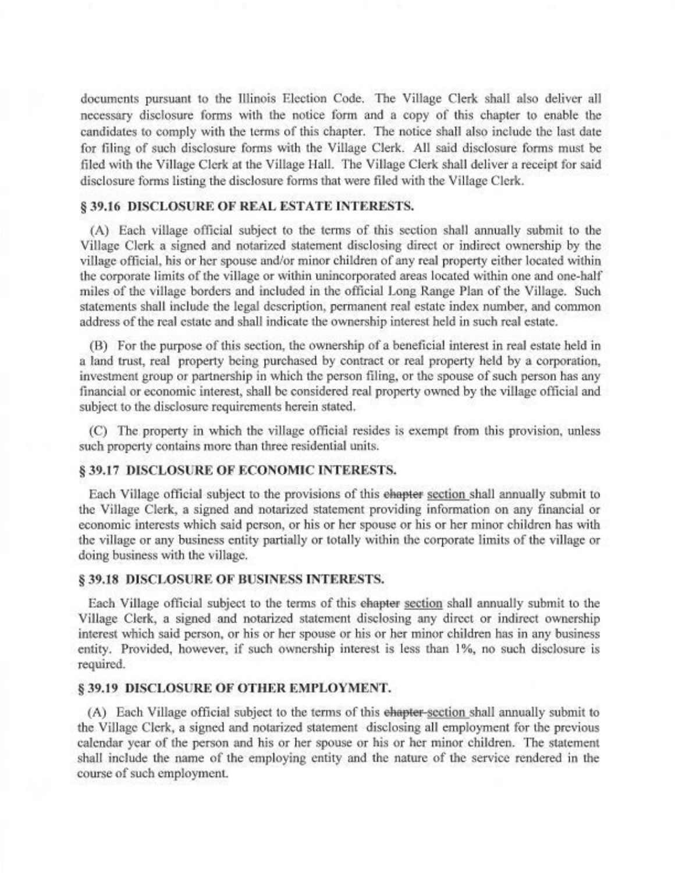documents pursuant to the Illinois Election Code. The Village Clerk shall also deliver all necessary disclosure forms with the notice form and a copy of this chapter to enable the candidates to comply with the terms of this chapter. The notice shall also include the last date for filing of such disclosure forms with the Village Clerk. All said disclosure forms must be filed with the Village Clerk at the Village Hall. The Village Clerk shall deliver a receipt for said disclosure forms listing the disclosure forms that were filed with the Village Clerk.

### § 39.16 DISCLOSURE OF REAL ESTATE INTERESTS.

(A) Each village official subject to the terms of this section shall annually submit to the Village Clerk a signed and notarized statement disclosing direct or indirect ownership by the village official, his or her spouse and/or minor children of any real property either located within the corporate limits of the village or within unincorporated areas located within one and one-half miles of the village borders and included in the official Long Range Plan of the Village. Such statements shall include the legal description, permanent real estate index number, and common address of the real estate and shall indicate the ownership interest held in such real estate.

(B) For the purpose of this section, the ownership of a beneficial interest in real estate held in a land trust, real property being purchased by contract or real property held by a corporation, investment group or partnership in which the person filing, or the spouse of such person has any financial or economic interest, shall be considered real property owned by the village official and subject to the disclosure requirements herein stated.

(C) The property in which the village official resides is exempt from this provision, unless such property contains more than three residential units.

### § 39.17 DISCLOSURE OF ECONOMIC INTERESTS.

Each Village official subject to the provisions of this ehapter section shall annually submit to the Village Clerk, a signed and notarized statement providing information on any financial or economic interests which said person, or his or her spouse or his or her minor children has with the village or any business entity partially or totally within the corporate limits of the village or doing business with the village.

#### § 39.18 DISCLOSURE OF BUSINESS INTERESTS.

Each Village official subject to the terms of this ehapter section shall annually submit to the Village Clerk, a signed and notarized statement disclosing any direct or indirect ownership interest which said person, or his or her spouse or his or her minor children has in any business entity. Provided, however, if such ownership interest is less than 1%, no such disclosure is required.

#### **§ 39.19 DISCLOSURE OF OTHER EMPLOYMENT.**

(A) Each Village official subject to the terms of this ehapter-section shall annually submit to the Village Clerk, a signed and notarized statement disclosing all employment for the previous calendar year of the person and his or her spouse or his or her minor children. The statement shall include the name of the employing entity and the nature of the service rendered in the course of such employment.